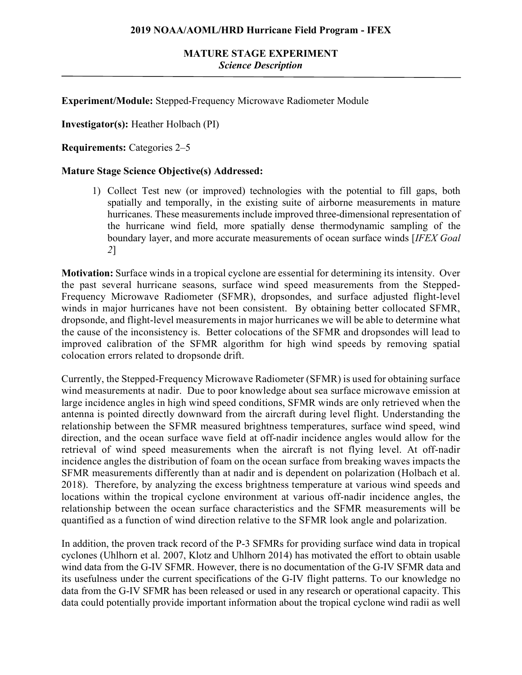### **MATURE STAGE EXPERIMENT** *Science Description*

**Experiment/Module:** Stepped-Frequency Microwave Radiometer Module

**Investigator(s):** Heather Holbach (PI)

**Requirements:** Categories 2–5

#### **Mature Stage Science Objective(s) Addressed:**

1) Collect Test new (or improved) technologies with the potential to fill gaps, both spatially and temporally, in the existing suite of airborne measurements in mature hurricanes. These measurements include improved three-dimensional representation of the hurricane wind field, more spatially dense thermodynamic sampling of the boundary layer, and more accurate measurements of ocean surface winds [*IFEX Goal 2*]

**Motivation:** Surface winds in a tropical cyclone are essential for determining its intensity. Over the past several hurricane seasons, surface wind speed measurements from the Stepped-Frequency Microwave Radiometer (SFMR), dropsondes, and surface adjusted flight-level winds in major hurricanes have not been consistent. By obtaining better collocated SFMR, dropsonde, and flight-level measurements in major hurricanes we will be able to determine what the cause of the inconsistency is. Better colocations of the SFMR and dropsondes will lead to improved calibration of the SFMR algorithm for high wind speeds by removing spatial colocation errors related to dropsonde drift.

Currently, the Stepped-Frequency Microwave Radiometer (SFMR) is used for obtaining surface wind measurements at nadir. Due to poor knowledge about sea surface microwave emission at large incidence angles in high wind speed conditions, SFMR winds are only retrieved when the antenna is pointed directly downward from the aircraft during level flight. Understanding the relationship between the SFMR measured brightness temperatures, surface wind speed, wind direction, and the ocean surface wave field at off-nadir incidence angles would allow for the retrieval of wind speed measurements when the aircraft is not flying level. At off-nadir incidence angles the distribution of foam on the ocean surface from breaking waves impacts the SFMR measurements differently than at nadir and is dependent on polarization (Holbach et al. 2018). Therefore, by analyzing the excess brightness temperature at various wind speeds and locations within the tropical cyclone environment at various off-nadir incidence angles, the relationship between the ocean surface characteristics and the SFMR measurements will be quantified as a function of wind direction relative to the SFMR look angle and polarization.

In addition, the proven track record of the P-3 SFMRs for providing surface wind data in tropical cyclones (Uhlhorn et al. 2007, Klotz and Uhlhorn 2014) has motivated the effort to obtain usable wind data from the G-IV SFMR. However, there is no documentation of the G-IV SFMR data and its usefulness under the current specifications of the G-IV flight patterns. To our knowledge no data from the G-IV SFMR has been released or used in any research or operational capacity. This data could potentially provide important information about the tropical cyclone wind radii as well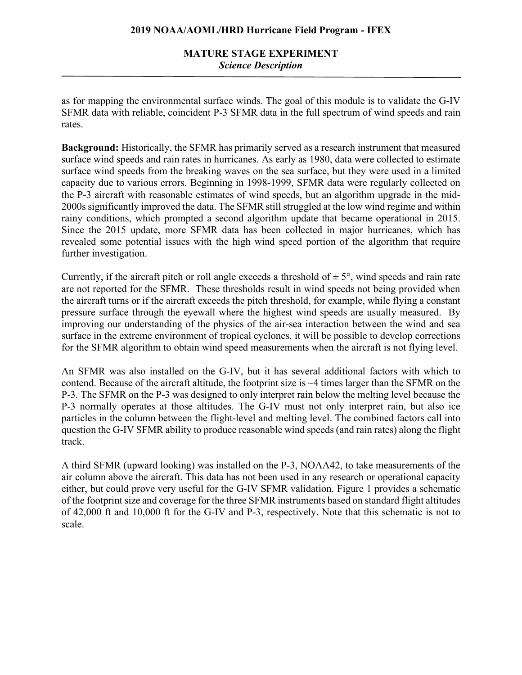# **MATURE STAGE EXPERIMENT** *Science Description*

as for mapping the environmental surface winds. The goal of this module is to validate the G-IV SFMR data with reliable, coincident P-3 SFMR data in the full spectrum of wind speeds and rain rates.

**Background:** Historically, the SFMR has primarily served as a research instrument that measured surface wind speeds and rain rates in hurricanes. As early as 1980, data were collected to estimate surface wind speeds from the breaking waves on the sea surface, but they were used in a limited capacity due to various errors. Beginning in 1998-1999, SFMR data were regularly collected on the P-3 aircraft with reasonable estimates of wind speeds, but an algorithm upgrade in the mid-2000s significantly improved the data. The SFMR still struggled at the low wind regime and within rainy conditions, which prompted a second algorithm update that became operational in 2015. Since the 2015 update, more SFMR data has been collected in major hurricanes, which has revealed some potential issues with the high wind speed portion of the algorithm that require further investigation.

Currently, if the aircraft pitch or roll angle exceeds a threshold of  $\pm 5^{\circ}$ , wind speeds and rain rate are not reported for the SFMR. These thresholds result in wind speeds not being provided when the aircraft turns or if the aircraft exceeds the pitch threshold, for example, while flying a constant pressure surface through the eyewall where the highest wind speeds are usually measured. By improving our understanding of the physics of the air-sea interaction between the wind and sea surface in the extreme environment of tropical cyclones, it will be possible to develop corrections for the SFMR algorithm to obtain wind speed measurements when the aircraft is not flying level.

An SFMR was also installed on the G-IV, but it has several additional factors with which to contend. Because of the aircraft altitude, the footprint size is ~4 times larger than the SFMR on the P-3. The SFMR on the P-3 was designed to only interpret rain below the melting level because the P-3 normally operates at those altitudes. The G-IV must not only interpret rain, but also ice particles in the column between the flight-level and melting level. The combined factors call into question the G-IV SFMR ability to produce reasonable wind speeds (and rain rates) along the flight track.

A third SFMR (upward looking) was installed on the P-3, NOAA42, to take measurements of the air column above the aircraft. This data has not been used in any research or operational capacity either, but could prove very useful for the G-IV SFMR validation. Figure 1 provides a schematic of the footprint size and coverage for the three SFMR instruments based on standard flight altitudes of 42,000 ft and 10,000 ft for the G-IV and P-3, respectively. Note that this schematic is not to scale.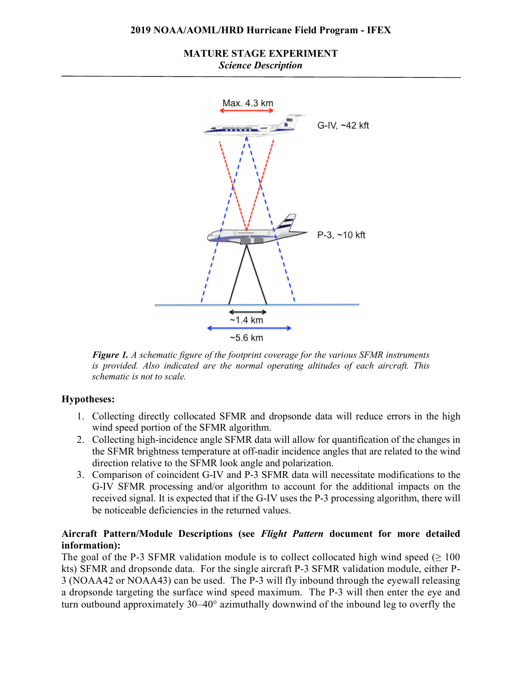### **MATURE STAGE EXPERIMENT** *Science Description*



*Figure 1. A schematic figure of the footprint coverage for the various SFMR instruments is provided. Also indicated are the normal operating altitudes of each aircraft. This schematic is not to scale.*

# **Hypotheses:**

- 1. Collecting directly collocated SFMR and dropsonde data will reduce errors in the high wind speed portion of the SFMR algorithm.
- 2. Collecting high-incidence angle SFMR data will allow for quantification of the changes in the SFMR brightness temperature at off-nadir incidence angles that are related to the wind direction relative to the SFMR look angle and polarization.
- 3. Comparison of coincident G-IV and P-3 SFMR data will necessitate modifications to the G-IV SFMR processing and/or algorithm to account for the additional impacts on the received signal. It is expected that if the G-IV uses the P-3 processing algorithm, there will be noticeable deficiencies in the returned values.

### **Aircraft Pattern/Module Descriptions (see** *Flight Pattern* **document for more detailed information):**

The goal of the P-3 SFMR validation module is to collect collocated high wind speed ( $\geq 100$ ) kts) SFMR and dropsonde data. For the single aircraft P-3 SFMR validation module, either P-3 (NOAA42 or NOAA43) can be used. The P-3 will fly inbound through the eyewall releasing a dropsonde targeting the surface wind speed maximum. The P-3 will then enter the eye and turn outbound approximately 30–40° azimuthally downwind of the inbound leg to overfly the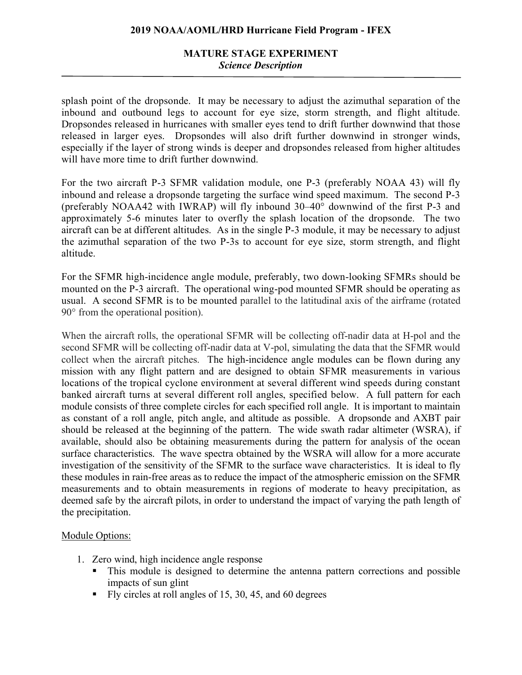# **MATURE STAGE EXPERIMENT** *Science Description*

splash point of the dropsonde. It may be necessary to adjust the azimuthal separation of the inbound and outbound legs to account for eye size, storm strength, and flight altitude. Dropsondes released in hurricanes with smaller eyes tend to drift further downwind that those released in larger eyes. Dropsondes will also drift further downwind in stronger winds, especially if the layer of strong winds is deeper and dropsondes released from higher altitudes will have more time to drift further downwind.

For the two aircraft P-3 SFMR validation module, one P-3 (preferably NOAA 43) will fly inbound and release a dropsonde targeting the surface wind speed maximum. The second P-3 (preferably NOAA42 with IWRAP) will fly inbound 30–40° downwind of the first P-3 and approximately 5-6 minutes later to overfly the splash location of the dropsonde. The two aircraft can be at different altitudes. As in the single P-3 module, it may be necessary to adjust the azimuthal separation of the two P-3s to account for eye size, storm strength, and flight altitude.

For the SFMR high-incidence angle module, preferably, two down-looking SFMRs should be mounted on the P-3 aircraft. The operational wing-pod mounted SFMR should be operating as usual. A second SFMR is to be mounted parallel to the latitudinal axis of the airframe (rotated 90° from the operational position).

When the aircraft rolls, the operational SFMR will be collecting off-nadir data at H-pol and the second SFMR will be collecting off-nadir data at V-pol, simulating the data that the SFMR would collect when the aircraft pitches. The high-incidence angle modules can be flown during any mission with any flight pattern and are designed to obtain SFMR measurements in various locations of the tropical cyclone environment at several different wind speeds during constant banked aircraft turns at several different roll angles, specified below. A full pattern for each module consists of three complete circles for each specified roll angle. It is important to maintain as constant of a roll angle, pitch angle, and altitude as possible. A dropsonde and AXBT pair should be released at the beginning of the pattern. The wide swath radar altimeter (WSRA), if available, should also be obtaining measurements during the pattern for analysis of the ocean surface characteristics. The wave spectra obtained by the WSRA will allow for a more accurate investigation of the sensitivity of the SFMR to the surface wave characteristics. It is ideal to fly these modules in rain-free areas as to reduce the impact of the atmospheric emission on the SFMR measurements and to obtain measurements in regions of moderate to heavy precipitation, as deemed safe by the aircraft pilots, in order to understand the impact of varying the path length of the precipitation.

#### Module Options:

- 1. Zero wind, high incidence angle response
	- This module is designed to determine the antenna pattern corrections and possible impacts of sun glint
	- Fly circles at roll angles of 15, 30, 45, and 60 degrees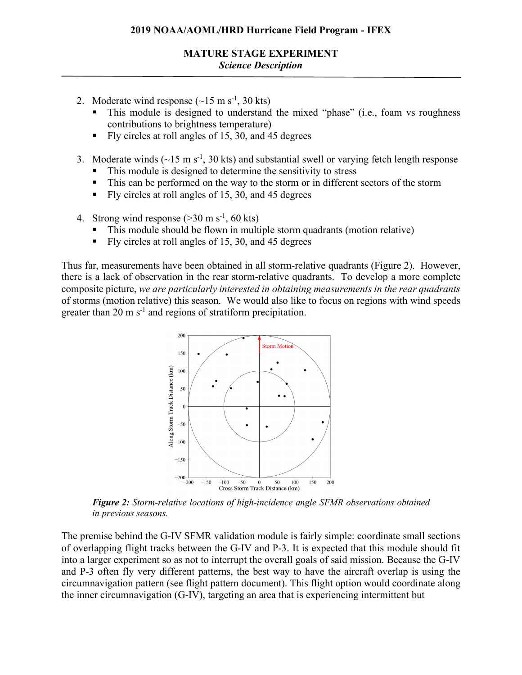- 2. Moderate wind response  $({\sim}15 \text{ m s}^{-1}, 30 \text{ kts})$ 
	- This module is designed to understand the mixed "phase" (i.e., foam vs roughness contributions to brightness temperature)
	- § Fly circles at roll angles of 15, 30, and 45 degrees
- 3. Moderate winds  $(\sim 15 \text{ m s}^{-1}, 30 \text{ kts})$  and substantial swell or varying fetch length response
	- This module is designed to determine the sensitivity to stress
	- This can be performed on the way to the storm or in different sectors of the storm
	- § Fly circles at roll angles of 15, 30, and 45 degrees
- 4. Strong wind response  $(>30 \text{ m s}^{-1}, 60 \text{ kts})$ 
	- § This module should be flown in multiple storm quadrants (motion relative)
	- Fly circles at roll angles of 15, 30, and 45 degrees

Thus far, measurements have been obtained in all storm-relative quadrants (Figure 2). However, there is a lack of observation in the rear storm-relative quadrants. To develop a more complete composite picture, *we are particularly interested in obtaining measurements in the rear quadrants* of storms (motion relative) this season. We would also like to focus on regions with wind speeds greater than 20 m  $s^{-1}$  and regions of stratiform precipitation.



*Figure 2: Storm-relative locations of high-incidence angle SFMR observations obtained in previous seasons.*

The premise behind the G-IV SFMR validation module is fairly simple: coordinate small sections of overlapping flight tracks between the G-IV and P-3. It is expected that this module should fit into a larger experiment so as not to interrupt the overall goals of said mission. Because the G-IV and P-3 often fly very different patterns, the best way to have the aircraft overlap is using the circumnavigation pattern (see flight pattern document). This flight option would coordinate along the inner circumnavigation (G-IV), targeting an area that is experiencing intermittent but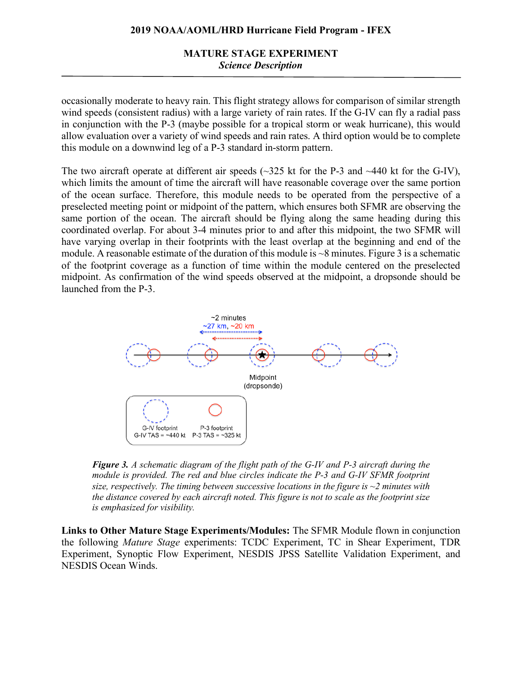# **MATURE STAGE EXPERIMENT** *Science Description*

occasionally moderate to heavy rain. This flight strategy allows for comparison of similar strength wind speeds (consistent radius) with a large variety of rain rates. If the G-IV can fly a radial pass in conjunction with the P-3 (maybe possible for a tropical storm or weak hurricane), this would allow evaluation over a variety of wind speeds and rain rates. A third option would be to complete this module on a downwind leg of a P-3 standard in-storm pattern.

The two aircraft operate at different air speeds ( $\sim$ 325 kt for the P-3 and  $\sim$ 440 kt for the G-IV), which limits the amount of time the aircraft will have reasonable coverage over the same portion of the ocean surface. Therefore, this module needs to be operated from the perspective of a preselected meeting point or midpoint of the pattern, which ensures both SFMR are observing the same portion of the ocean. The aircraft should be flying along the same heading during this coordinated overlap. For about 3-4 minutes prior to and after this midpoint, the two SFMR will have varying overlap in their footprints with the least overlap at the beginning and end of the module. A reasonable estimate of the duration of this module is ~8 minutes. Figure 3 is a schematic of the footprint coverage as a function of time within the module centered on the preselected midpoint. As confirmation of the wind speeds observed at the midpoint, a dropsonde should be launched from the P-3.



*Figure 3. A schematic diagram of the flight path of the G-IV and P-3 aircraft during the module is provided. The red and blue circles indicate the P-3 and G-IV SFMR footprint size, respectively. The timing between successive locations in the figure is ~2 minutes with the distance covered by each aircraft noted. This figure is not to scale as the footprint size is emphasized for visibility.*

**Links to Other Mature Stage Experiments/Modules:** The SFMR Module flown in conjunction the following *Mature Stage* experiments: TCDC Experiment, TC in Shear Experiment, TDR Experiment, Synoptic Flow Experiment, NESDIS JPSS Satellite Validation Experiment, and NESDIS Ocean Winds.